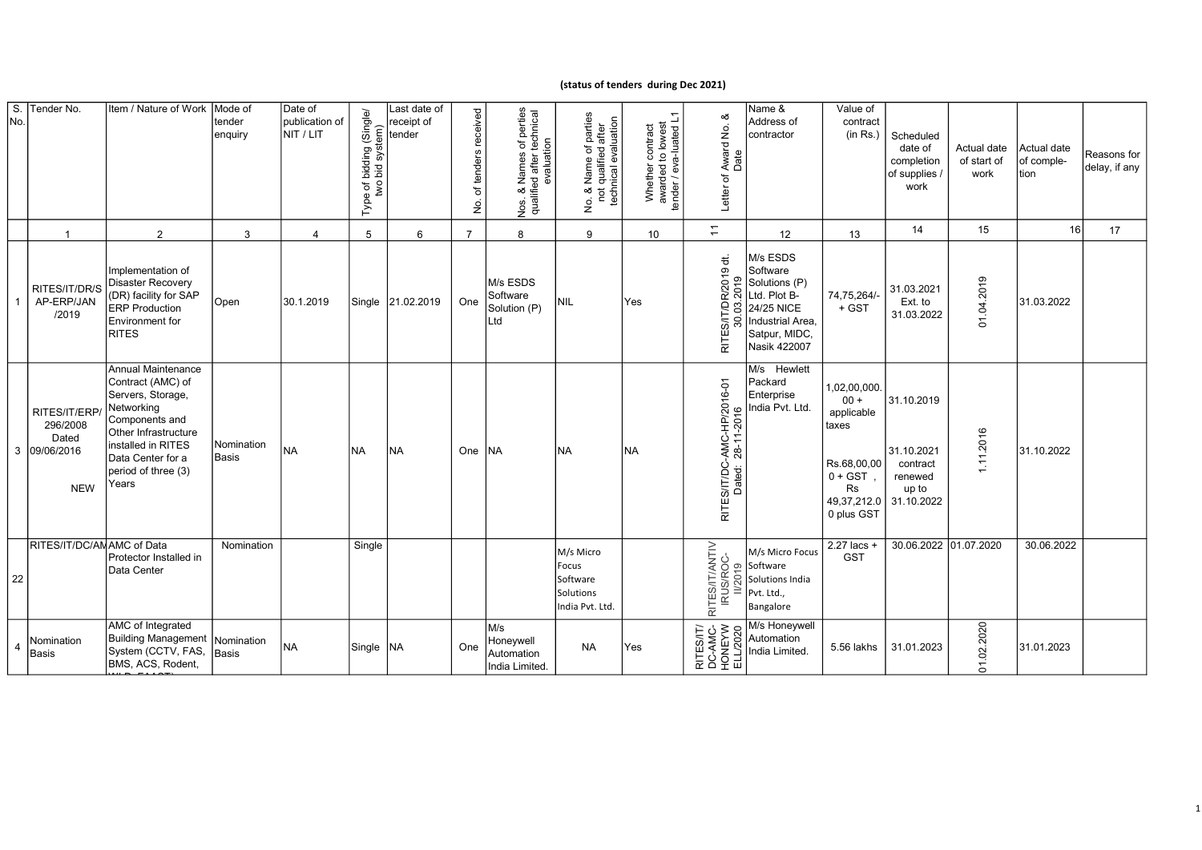## (status of tenders during Dec 2021)

| S.<br>No. | Tender No.                                                       | Item / Nature of Work                                                                                                                                                                           | Mode of<br>tender<br>enquiry | Date of<br>publication of<br>NIT / LIT | Type of bidding (Single/<br>two bid system) | Last date of<br>receipt of<br>tender | received<br>of tenders<br>غ. | Nos. & Names of perties<br>qualified after technical<br>evaluation<br>os. | Vo. & Name of parties<br>not qualified after<br>technical evaluation<br>$\frac{\dot{\mathsf{o}}}{\mathsf{Z}}$ | Whether contract<br>awarded to lowest<br>tender / eva-luated L1 | య<br>Award No.<br>Date<br>Letter of                        | Name &<br>Address of<br>contractor                                                                                       | Value of<br>contract<br>(in Rs.)                                                                             | Scheduled<br>date of<br>completion<br>of supplies<br>work              | Actual date<br>of start of<br>work | Actual date<br>of comple-<br>Ition | Reasons for<br>delay, if any |
|-----------|------------------------------------------------------------------|-------------------------------------------------------------------------------------------------------------------------------------------------------------------------------------------------|------------------------------|----------------------------------------|---------------------------------------------|--------------------------------------|------------------------------|---------------------------------------------------------------------------|---------------------------------------------------------------------------------------------------------------|-----------------------------------------------------------------|------------------------------------------------------------|--------------------------------------------------------------------------------------------------------------------------|--------------------------------------------------------------------------------------------------------------|------------------------------------------------------------------------|------------------------------------|------------------------------------|------------------------------|
|           | $\overline{1}$                                                   | $\overline{2}$                                                                                                                                                                                  | 3                            | $\overline{4}$                         | $\overline{5}$                              | 6                                    | $\overline{7}$               | 8                                                                         | 9                                                                                                             | 10 <sup>1</sup>                                                 | $\overline{\overline{a}}$                                  | 12                                                                                                                       | 13                                                                                                           | 14                                                                     | 15                                 | 16                                 | 17                           |
|           | RITES/IT/DR/S<br>AP-ERP/JAN<br>/2019                             | Implementation of<br><b>Disaster Recovery</b><br>(DR) facility for SAP<br><b>ERP</b> Production<br>Environment for<br><b>RITES</b>                                                              | Open                         | 30.1.2019                              |                                             | Single 21.02.2019                    | One                          | M/s ESDS<br>Software<br>Solution (P)<br>Ltd                               | nil                                                                                                           | Yes                                                             | 19 dt.<br>2019<br>R/20<br>ē<br>g<br>S/IT,<br>30.<br>ш<br>둖 | M/s ESDS<br>Software<br>Solutions (P)<br>Ltd. Plot B-<br>24/25 NICE<br>Industrial Area,<br>Satpur, MIDC,<br>Nasik 422007 | 74,75,264/-<br>+ GST                                                                                         | 31.03.2021<br>Ext. to<br>31.03.2022                                    | 01.04.2019                         | 31.03.2022                         |                              |
|           | RITES/IT/ERP/<br>296/2008<br>Dated<br>3 09/06/2016<br><b>NEW</b> | Annual Maintenance<br>Contract (AMC) of<br>Servers, Storage,<br>Networking<br>Components and<br>Other Infrastructure<br>installed in RITES<br>Data Center for a<br>period of three (3)<br>Years | Nomination<br>Basis          | <b>INA</b>                             | NA                                          | <b>INA</b>                           | One INA                      |                                                                           | <b>NA</b>                                                                                                     | NA                                                              | RITES/IT/DC-AMC-HP/2016-01<br>Dated: 28-11-2016            | M/s Hewlett<br>Packard<br>Enterprise<br>India Pvt. Ltd.                                                                  | 1,02,00,000.<br>$00 +$<br>applicable<br>taxes<br>Rs.68,00,00<br>$0 + GST$<br>Rs<br>49,37,212.0<br>0 plus GST | 31.10.2019<br>31.10.2021<br>contract<br>renewed<br>up to<br>31.10.2022 | 11.2016                            | 31.10.2022                         |                              |
| 22        | RITES/IT/DC/AMAMC of Data                                        | Protector Installed in<br>Data Center                                                                                                                                                           | Nomination                   |                                        | Single                                      |                                      |                              |                                                                           | M/s Micro<br>Focus<br>Software<br>Solutions<br>India Pvt. Ltd.                                                |                                                                 | RITES/IT/ANTIV<br>IRUS/ROC-<br>II/2019                     | M/s Micro Focus<br>Software<br>Solutions India<br>Pvt. Ltd.,<br>Bangalore                                                | 2.27 lacs +<br><b>GST</b>                                                                                    | 30.06.2022 01.07.2020                                                  |                                    | 30.06.2022                         |                              |
| 4         | Nomination<br>Basis                                              | AMC of Integrated<br>Building Management<br>System (CCTV, FAS,<br>BMS, ACS, Rodent,                                                                                                             | Nomination<br>Basis          | <b>NA</b>                              | Single   NA                                 |                                      | One                          | M/s<br>Honeywell<br>Automation<br>India Limited.                          | <b>NA</b>                                                                                                     | Yes                                                             | RITES/IT/<br>DC-AMC-<br>HONEYW<br>ELL/2020                 | M/s Honeywell<br>Automation<br>India Limited.                                                                            | 5.56 lakhs                                                                                                   | 31.01.2023                                                             | 01.02.2020                         | 31.01.2023                         |                              |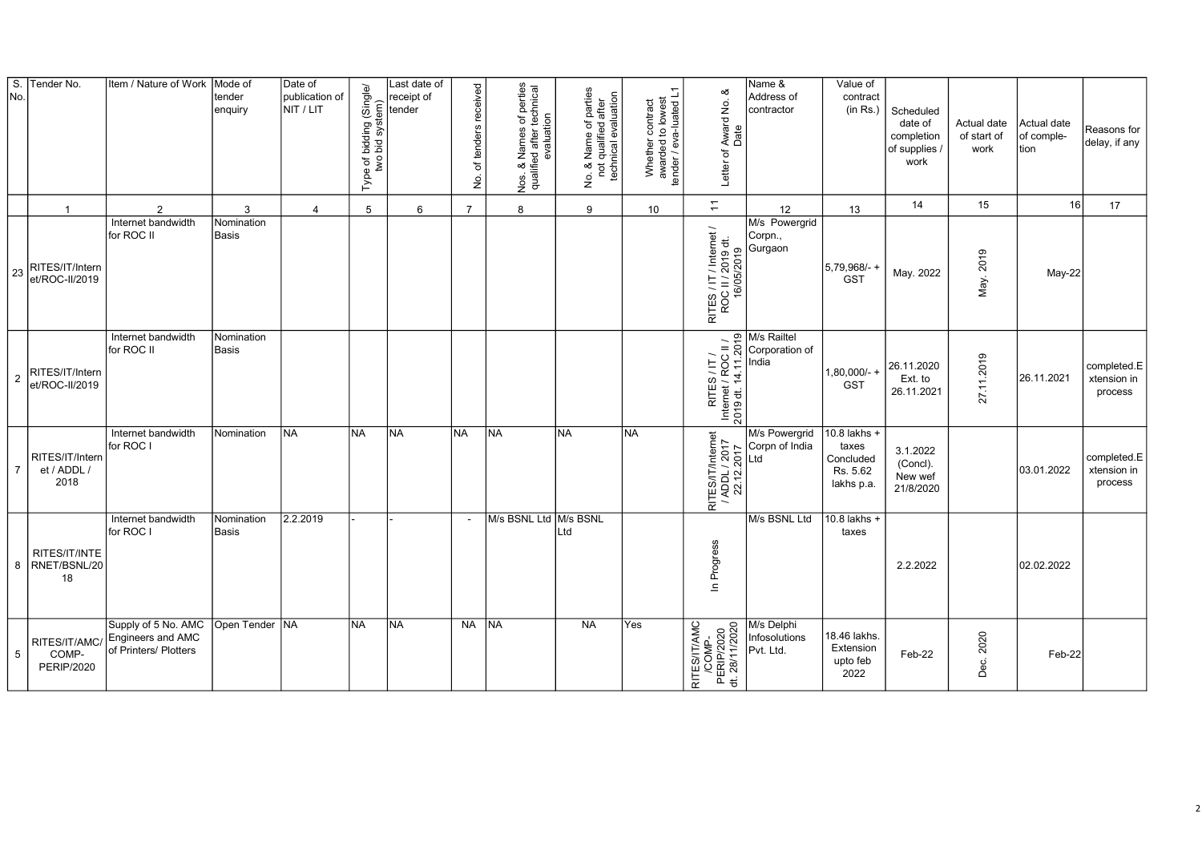| S.<br>No.      | Tender No.                                  | Item / Nature of Work                                             | Mode of<br>tender<br>enquiry | Date of<br>publication of<br>NIT / LIT | Type of bidding (Single/<br>two bid system) | Last date of<br>receipt of<br>tender | received<br>of tenders<br>ġ | Nos. & Names of perties<br>qualified after technical<br>evaluation | No. & Name of parties<br>not qualified after<br>technical evaluation | Whether contract<br>awarded to lowest<br>tender / eva-luated L1 | య<br>Award No.<br>Date<br>Letter of                        | Name &<br>Address of<br>contractor       | Value of<br>contract<br>(in Rs.)                             | Scheduled<br>date of<br>completion<br>of supplies /<br>work | Actual date<br>of start of<br>work | Actual date<br>of comple-<br>tion | Reasons for<br>delay, if any          |
|----------------|---------------------------------------------|-------------------------------------------------------------------|------------------------------|----------------------------------------|---------------------------------------------|--------------------------------------|-----------------------------|--------------------------------------------------------------------|----------------------------------------------------------------------|-----------------------------------------------------------------|------------------------------------------------------------|------------------------------------------|--------------------------------------------------------------|-------------------------------------------------------------|------------------------------------|-----------------------------------|---------------------------------------|
|                | $\overline{1}$                              | 2                                                                 | 3                            | 4                                      | 5                                           | 6                                    | $\overline{7}$              | 8                                                                  | 9                                                                    | 10                                                              | $\overline{a}$                                             | 12                                       | 13                                                           | 14                                                          | 15                                 | 16                                | 17                                    |
| 23             | RITES/IT/Intern<br>et/ROC-II/2019           | Internet bandwidth<br>for ROC II                                  | Nomination<br>Basis          |                                        |                                             |                                      |                             |                                                                    |                                                                      |                                                                 | RITES / IT / Internet /<br>ROC II / 2019 dt.<br>16/05/2019 | M/s Powergrid<br>Corpn.,<br>Gurgaon      | 5,79,968/- +<br><b>GST</b>                                   | May. 2022                                                   | May. 2019                          | $May-22$                          |                                       |
| $\overline{2}$ | RITES/IT/Intern<br>et/ROC-II/2019           | Internet bandwidth<br>for ROC II                                  | Nomination<br>Basis          |                                        |                                             |                                      |                             |                                                                    |                                                                      |                                                                 | RITES / IT /<br>Internet / ROC II /<br>2019 dt. 14.11.2019 | M/s Railtel<br>Corporation of<br>India   | $1,80,000/-$ +<br><b>GST</b>                                 | 26.11.2020<br>Ext. to<br>26.11.2021                         | 27.11.2019                         | 26.11.2021                        | completed.E<br>xtension in<br>process |
| $\overline{7}$ | RITES/IT/Intern<br>et / ADDL /<br>2018      | Internet bandwidth<br>for ROC I                                   | Nomination                   | INA.                                   | INA                                         | İNA                                  | <b>NA</b>                   | <b>INA</b>                                                         | lna                                                                  | <b>NA</b>                                                       | RITES/IT/Internet<br>/ ADDL / 2017<br>22.12.2017           | M/s Powergrid<br>Corpn of India<br>Ltd   | 10.8 lakhs +<br>taxes<br>Concluded<br>Rs. 5.62<br>lakhs p.a. | 3.1.2022<br>(Concl).<br>New wef<br>21/8/2020                |                                    | 03.01.2022                        | completed.E<br>xtension in<br>process |
|                | RITES/IT/INTE<br>8 RNET/BSNL/20<br>18       | Internet bandwidth<br>for ROC I                                   | Nomination<br>Basis          | 2.2.2019                               |                                             |                                      |                             | M/s BSNL Ltd M/s BSNL                                              | Ltd                                                                  |                                                                 | Progress<br>$\mathbf{u}$                                   | M/s BSNL Ltd                             | 10.8 lakhs +<br>taxes                                        | 2.2.2022                                                    |                                    | 02.02.2022                        |                                       |
| 5              | RITES/IT/AMC/<br>COMP-<br><b>PERIP/2020</b> | Supply of 5 No. AMC<br>Engineers and AMC<br>of Printers/ Plotters | Open Tender   NA             |                                        | INA.                                        | <b>NA</b>                            | <b>NA</b>                   | <b>INA</b>                                                         | <b>NA</b>                                                            | Yes                                                             | RITES/IT/AMC<br>/COMP-<br>PERIP/2020<br>dt. 28/11/2020     | M/s Delphi<br>Infosolutions<br>Pvt. Ltd. | 18.46 lakhs.<br>Extension<br>upto feb<br>2022                | Feb-22                                                      | 2020<br>Dec.                       | Feb-22                            |                                       |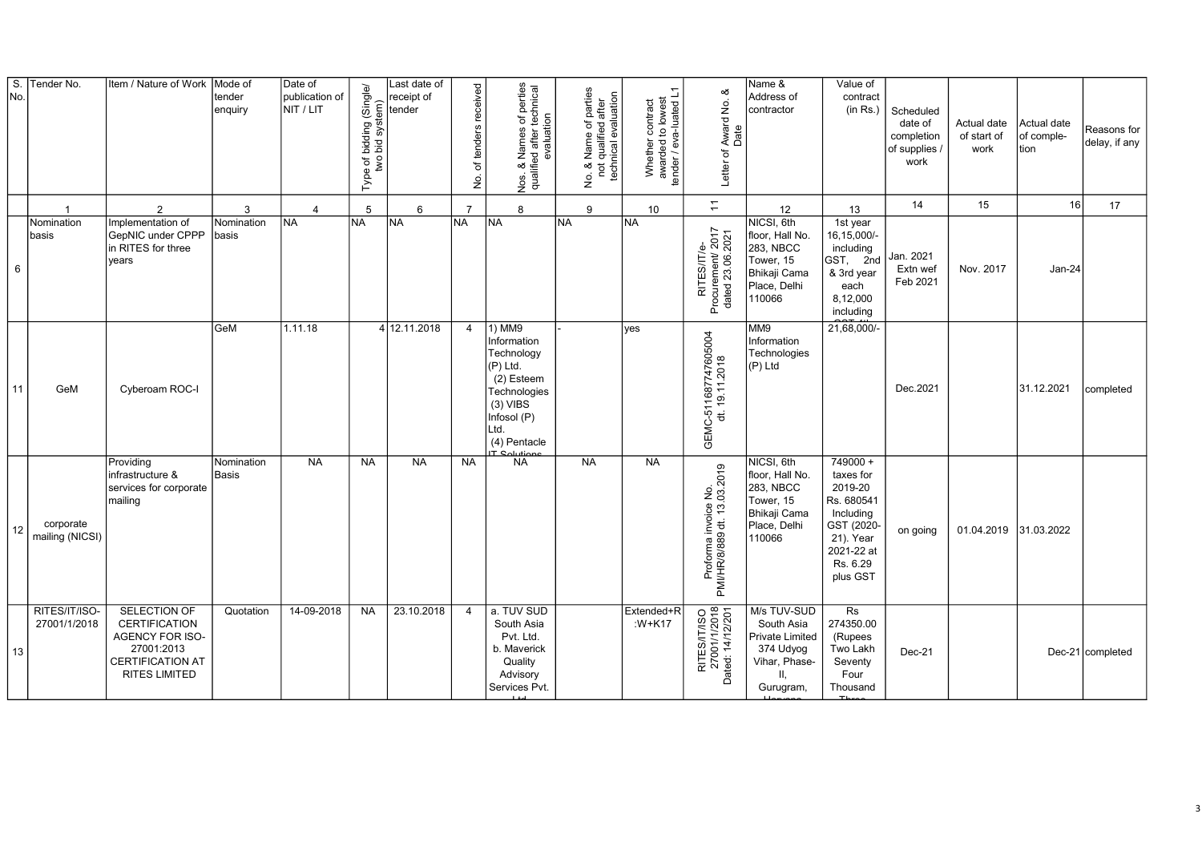| $\overline{\mathsf{s}}$ .<br>No. | Tender No.                    | Item / Nature of Work                                                                                                    | Mode of<br>tender<br>enquiry | Date of<br>publication of<br>NIT / LIT | Type of bidding (Single/<br>two bid system) | Last date of<br>receipt of<br>tender | of tenders received<br>ِ<br>ع | Nos. & Names of perties<br>qualified after technical<br>evaluation                                                                                       | No. & Name of parties<br>not qualified after<br>technical evaluation | Whether contract<br>awarded to lowest<br>tender / eva-luated L1 | ∞<br>Award No.<br>Date<br>Letter of                  | Name &<br>Address of<br>contractor                                                                       | Value of<br>contract<br>(in Rs.)                                                                                               | Scheduled<br>date of<br>completion<br>of supplies /<br>work | Actual date<br>of start of<br>work | Actual date<br>of comple-<br>tion | Reasons for<br>delay, if any |
|----------------------------------|-------------------------------|--------------------------------------------------------------------------------------------------------------------------|------------------------------|----------------------------------------|---------------------------------------------|--------------------------------------|-------------------------------|----------------------------------------------------------------------------------------------------------------------------------------------------------|----------------------------------------------------------------------|-----------------------------------------------------------------|------------------------------------------------------|----------------------------------------------------------------------------------------------------------|--------------------------------------------------------------------------------------------------------------------------------|-------------------------------------------------------------|------------------------------------|-----------------------------------|------------------------------|
|                                  | $\overline{1}$                | $\overline{2}$                                                                                                           | 3                            | $\overline{4}$                         | 5                                           | 6                                    | $\overline{7}$                | 8                                                                                                                                                        | 9                                                                    | 10                                                              | $\overline{\div}$                                    | 12                                                                                                       | 13                                                                                                                             | 14                                                          | 15                                 | 16                                | 17                           |
| 6                                | Nomination<br>basis           | Implementation of<br>GepNIC under CPPP<br>in RITES for three<br>years                                                    | Nomination<br>basis          | <b>NA</b>                              | NA.                                         | <b>NA</b>                            | NA)                           | <b>NA</b>                                                                                                                                                | <b>NA</b>                                                            | <b>NA</b>                                                       | RITES/IT/e-<br>Procurement/ 2017<br>dated 23.06.2021 | NICSI, 6th<br>floor, Hall No.<br>283, NBCC<br>Tower, 15<br>Bhikaji Cama<br>Place, Delhi<br>110066        | 1st year<br>16,15,000/-<br>including<br>GST, 2nd<br>& 3rd year<br>each<br>8,12,000<br>including                                | Jan. 2021<br>Extn wef<br>Feb 2021                           | Nov. 2017                          | Jan-24                            |                              |
| 11                               | GeM                           | Cyberoam ROC-I                                                                                                           | GeM                          | 1.11.18                                |                                             | 4 12.11.2018                         | $\overline{4}$                | 1) MM9<br>Information<br>Technology<br>(P) Ltd.<br>(2) Esteem<br>Technologies<br>$(3)$ VIBS<br>Infosol (P)<br>Ltd.<br>(4) Pentacle<br><b>IT Solution</b> |                                                                      | ves                                                             | GEMC-511687747605004<br>dt. 19.11.2018               | M <sub>9</sub><br>Information<br>Technologies<br>(P) Ltd                                                 | 21,68,000/                                                                                                                     | Dec.2021                                                    |                                    | 31.12.2021                        | completed                    |
| 12                               | corporate<br>mailing (NICSI)  | Providing<br>infrastructure &<br>services for corporate<br>mailing                                                       | Nomination<br><b>Basis</b>   | <b>NA</b>                              | <b>NA</b>                                   | <b>NA</b>                            | <b>NA</b>                     | <b>NA</b>                                                                                                                                                | <b>NA</b>                                                            | <b>NA</b>                                                       | Proforma invoice No.<br>PMI/HR/8/889 dt. 13.03.2019  | NICSI, 6th<br>floor, Hall No.<br>283, NBCC<br>Tower, 15<br><b>Bhikaji Cama</b><br>Place, Delhi<br>110066 | $749000 +$<br>taxes for<br>2019-20<br>Rs. 680541<br>Including<br>GST (2020-<br>21). Year<br>2021-22 at<br>Rs. 6.29<br>plus GST | on going                                                    | 01.04.2019                         | 31.03.2022                        |                              |
| 13                               | RITES/IT/ISO-<br>27001/1/2018 | SELECTION OF<br><b>CERTIFICATION</b><br>AGENCY FOR ISO-<br>27001:2013<br><b>CERTIFICATION AT</b><br><b>RITES LIMITED</b> | Quotation                    | 14-09-2018                             | <b>NA</b>                                   | 23.10.2018                           | $\overline{4}$                | a. TUV SUD<br>South Asia<br>Pvt. Ltd.<br>b. Maverick<br>Quality<br>Advisory<br>Services Pvt.                                                             |                                                                      | Extended+R<br>: $W+K17$                                         | RITES/IT/ISO<br>27001/1/2018<br>Dated: 14/12/201     | M/s TUV-SUD<br>South Asia<br>Private Limited<br>374 Udyog<br>Vihar, Phase-<br>H.<br>Gurugram,            | Rs<br>274350.00<br>(Rupees<br>Two Lakh<br>Seventy<br>Four<br>Thousand                                                          | $Dec-21$                                                    |                                    |                                   | Dec-21 completed             |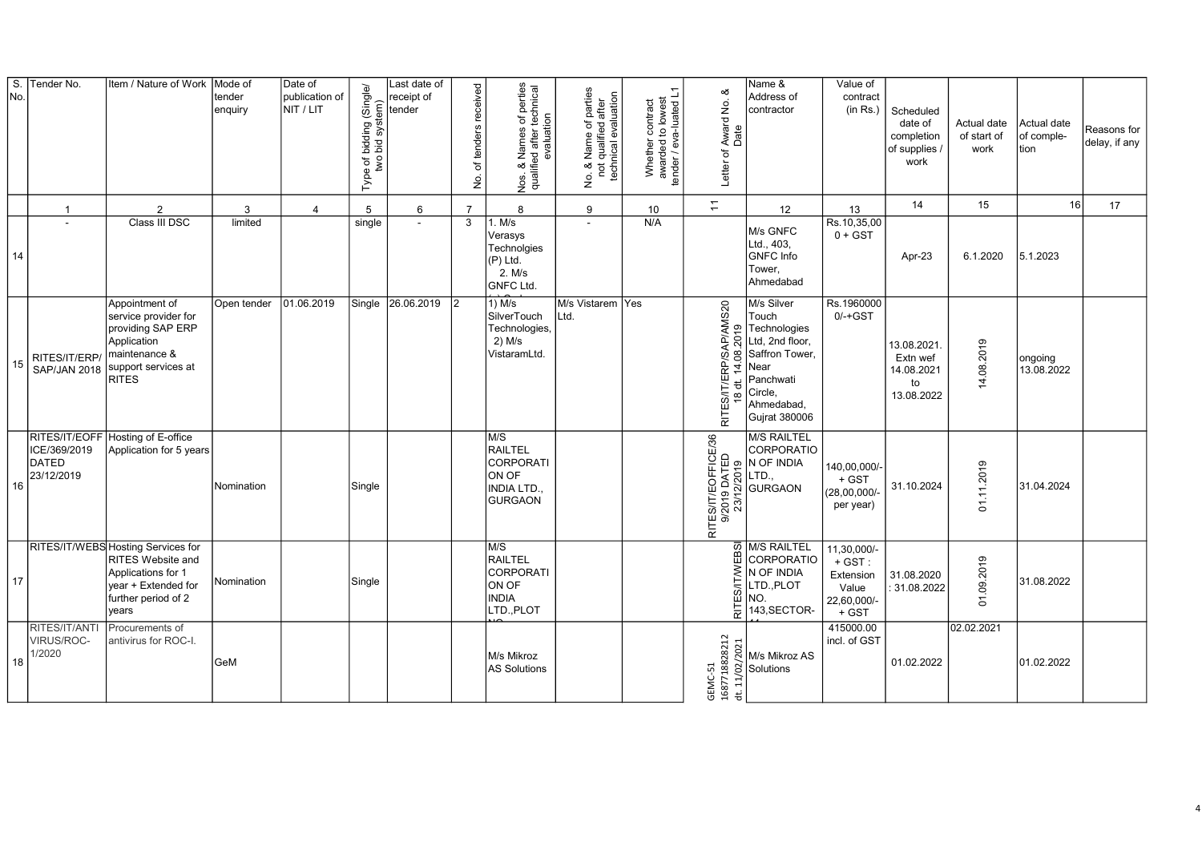| $\overline{\mathsf{s}}$ .<br>No. | Tender No.                                 | Item / Nature of Work                                                                                                                       | Mode of<br>tender<br>enquiry | Date of<br>publication of<br>NIT / LIT | Type of bidding (Single/<br>two bid system)<br>E) | Last date of<br>receipt of<br>tender | of tenders received<br>ġ | Nos. & Names of perties<br>qualified after technical<br>evaluation         | No. & Name of parties<br>not qualified after<br>technical evaluation<br>$\frac{1}{2}$ | Whether contract<br>awarded to lowest<br>tender / eva-luated L1<br>Whether | య<br>Award No.<br>Date<br>Letter of                                        | Name &<br>Address of<br>contractor                                                                                                             | Value of<br>contract<br>(in Rs.)                                       | Scheduled<br>date of<br>completion<br>of supplies /<br>work | Actual date<br>of start of<br>work       | Actual date<br>of comple-<br>tion | Reasons for<br>delay, if any |
|----------------------------------|--------------------------------------------|---------------------------------------------------------------------------------------------------------------------------------------------|------------------------------|----------------------------------------|---------------------------------------------------|--------------------------------------|--------------------------|----------------------------------------------------------------------------|---------------------------------------------------------------------------------------|----------------------------------------------------------------------------|----------------------------------------------------------------------------|------------------------------------------------------------------------------------------------------------------------------------------------|------------------------------------------------------------------------|-------------------------------------------------------------|------------------------------------------|-----------------------------------|------------------------------|
|                                  | -1                                         | $\overline{2}$                                                                                                                              | 3                            | $\overline{4}$                         | 5                                                 | 6                                    | $\overline{7}$           | 8                                                                          | 9                                                                                     | 10                                                                         | $\overline{\tau}$                                                          | 12                                                                                                                                             | 13                                                                     | 14                                                          | 15                                       | 16                                | 17                           |
| 14                               | $\sim$                                     | Class III DSC                                                                                                                               | limited                      |                                        | single                                            | $\sim$                               | 3                        | 1. M/s<br>Verasys<br>Technolgies<br>(P) Ltd.<br>2. M/s<br><b>GNFC Ltd.</b> | $\sim$                                                                                | N/A                                                                        |                                                                            | M/s GNFC<br>Ltd., 403,<br><b>GNFC</b> Info<br>Tower,<br>Ahmedabad                                                                              | Rs.10,35,00<br>$0 + GST$                                               | Apr-23                                                      | 6.1.2020                                 | 5.1.2023                          |                              |
| 15                               | RITES/IT/ERP/<br><b>SAP/JAN 2018</b>       | Appointment of<br>service provider for<br>providing SAP ERP<br>Application<br>maintenance &<br>support services at<br><b>RITES</b>          | Open tender                  | 01.06.2019                             |                                                   | Single 26.06.2019                    | 2                        | $1)$ M/s<br>SilverTouch<br>Technologies,<br>$2)$ M/s<br>VistaramLtd.       | M/s Vistarem Yes<br>Ltd.                                                              |                                                                            | >/SAP/AMS20<br>08.2019<br>RP)<br>$\overline{4}$<br>RITES/IT/EF<br>18 dt. 1 | M/s Silver<br>Touch<br>Technologies<br>Ltd, 2nd floor,<br>Saffron Tower,<br>Near<br>Panchwati<br>Circle,<br>Ahmedabad,<br><b>Gujrat 380006</b> | Rs.1960000<br>$0/-+GST$                                                | 13.08.2021.<br>Extn wef<br>14.08.2021<br>to<br>13.08.2022   | 4.08.2019                                | ongoing<br>13.08.2022             |                              |
| 16                               | ICE/369/2019<br><b>DATED</b><br>23/12/2019 | RITES/IT/EOFF Hosting of E-office<br>Application for 5 years                                                                                | Nomination                   |                                        | Single                                            |                                      |                          | M/S<br>RAILTEL<br>CORPORATI<br>ON OF<br>INDIA LTD.<br><b>GURGAON</b>       |                                                                                       |                                                                            | RITES/IT/EOFFICE/36                                                        | <b>M/S RAILTEL</b><br>CORPORATIO<br>N OF INDIA<br>LTD.,<br>GURGAON                                                                             | 140,00,000/-<br>$+$ GST<br>$(28,00,000/-$<br>per year)                 | 31.10.2024                                                  | .11.2019<br>$\overleftarrow{\mathrm{o}}$ | 31.04.2024                        |                              |
| 17                               |                                            | RITES/IT/WEBS Hosting Services for<br><b>RITES Website and</b><br>Applications for 1<br>year + Extended for<br>further period of 2<br>years | Nomination                   |                                        | Single                                            |                                      |                          | M/S<br><b>RAILTEL</b><br>CORPORATI<br>ON OF<br><b>INDIA</b><br>LTD., PLOT  |                                                                                       |                                                                            | RITES/IT/WEB                                                               | M/S RAILTEL<br>CORPORATIO<br>N OF INDIA<br>LTD., PLOT<br>NO.<br>143, SECTOR-                                                                   | 11,30,000/-<br>$+$ GST :<br>Extension<br>Value<br>22,60,000/-<br>+ GST | 31.08.2020<br>31.08.2022                                    | 01.09.2019                               | 31.08.2022                        |                              |
| 18                               | RITES/IT/ANTI<br>VIRUS/ROC-<br>1/2020      | Procurements of<br>antivirus for ROC-I.                                                                                                     | GeM                          |                                        |                                                   |                                      |                          | M/s Mikroz<br>AS Solutions                                                 |                                                                                       |                                                                            | 18828212<br>dt. 11/02/2021<br>GEMC-51<br>16877                             | M/s Mikroz AS<br>Solutions                                                                                                                     | 415000.00<br>incl. of GST                                              | 01.02.2022                                                  | 02.02.2021                               | 01.02.2022                        |                              |